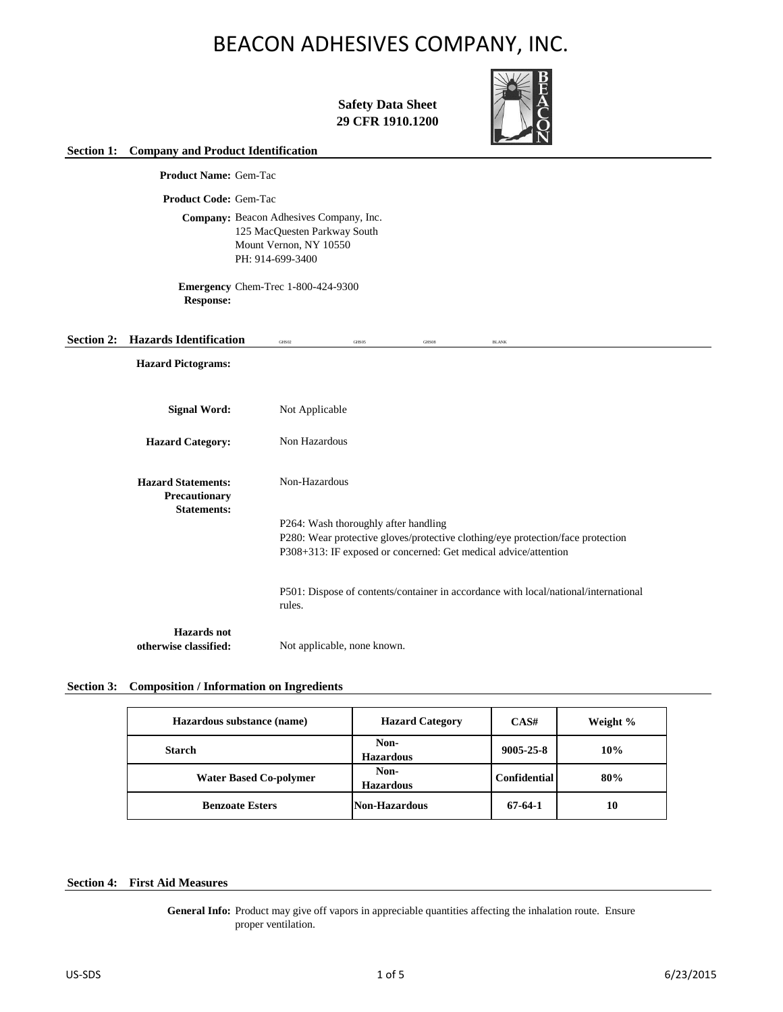

**Safety Data Sheet 29 CFR 1910.1200**

### **Section 1: Company and Product Identification**

**Product Name:** Gem-Tac

**Product Code:** Gem-Tac

Company: Beacon Adhesives Company, Inc. 125 MacQuesten Parkway South Mount Vernon, NY 10550 PH: 914-699-3400

**Emergency**  Chem-Trec 1-800-424-9300 **Response:**

# **Section 2: Hazards Identification** GHS02 GHS05 GHS05 GHS05 BLAN

**Hazard Pictograms:**

| Signal Word:                                                            | Not Applicable                                                                                |
|-------------------------------------------------------------------------|-----------------------------------------------------------------------------------------------|
| <b>Hazard Category:</b>                                                 | Non Hazardous                                                                                 |
| <b>Hazard Statements:</b><br><b>Precautionary</b><br><b>Statements:</b> | Non-Hazardous                                                                                 |
|                                                                         | P264: Wash thoroughly after handling                                                          |
|                                                                         | P280: Wear protective gloves/protective clothing/eye protection/face protection               |
|                                                                         | P308+313: IF exposed or concerned: Get medical advice/attention                               |
|                                                                         | P501: Dispose of contents/container in accordance with local/national/international<br>rules. |
| Hazards not                                                             |                                                                                               |
| otherwise classified:                                                   | Not applicable, none known.                                                                   |

# **Section 3: Composition / Information on Ingredients**

| Hazardous substance (name)    | <b>Hazard Category</b><br>CAS# |                     | Weight % |
|-------------------------------|--------------------------------|---------------------|----------|
| Starch                        | Non-<br><b>Hazardous</b>       | $9005 - 25 - 8$     | 10%      |
| <b>Water Based Co-polymer</b> | Non-<br><b>Hazardous</b>       | <b>Confidential</b> | 80%      |
| <b>Benzoate Esters</b>        | Non-Hazardous                  | 67-64-1             | 10       |

# **Section 4: First Aid Measures**

General Info: Product may give off vapors in appreciable quantities affecting the inhalation route. Ensure proper ventilation.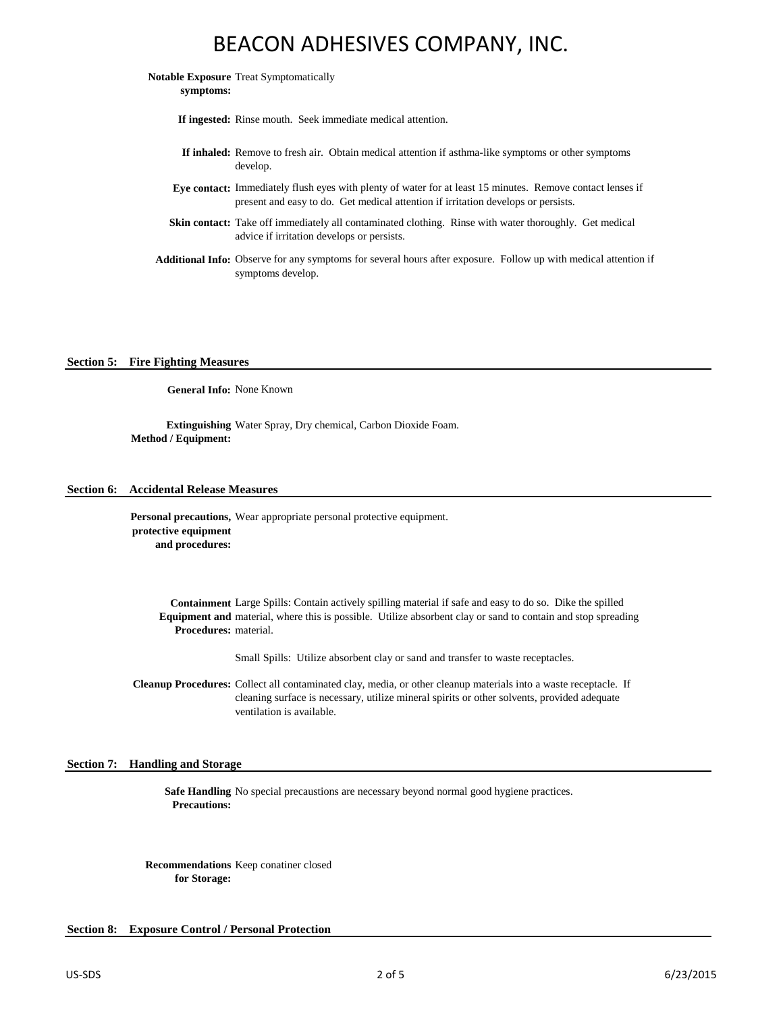**Notable Exposure**  Treat Symptomatically **symptoms:**

**If ingested:** Rinse mouth. Seek immediate medical attention.

- **If inhaled:** Remove to fresh air. Obtain medical attention if asthma-like symptoms or other symptoms develop.
- **Eye contact:** Immediately flush eyes with plenty of water for at least 15 minutes. Remove contact lenses if present and easy to do. Get medical attention if irritation develops or persists.
- Skin contact: Take off immediately all contaminated clothing. Rinse with water thoroughly. Get medical advice if irritation develops or persists.
- **Additional Info:** Observe for any symptoms for several hours after exposure. Follow up with medical attention if symptoms develop.

# **Section 5: Fire Fighting Measures**

**General Info:** None Known

**Extinguishing**  Water Spray, Dry chemical, Carbon Dioxide Foam. **Method / Equipment:**

#### **Section 6: Accidental Release Measures**

Personal precautions, Wear appropriate personal protective equipment. **protective equipment and procedures:**

**Containment**  Large Spills: Contain actively spilling material if safe and easy to do so. Dike the spilled **Equipment and**  material, where this is possible. Utilize absorbent clay or sand to contain and stop spreading **Procedures:** material.

Small Spills: Utilize absorbent clay or sand and transfer to waste receptacles.

Cleanup Procedures: Collect all contaminated clay, media, or other cleanup materials into a waste receptacle. If cleaning surface is necessary, utilize mineral spirits or other solvents, provided adequate ventilation is available.

### **Section 7: Handling and Storage**

**Safe Handling**  No special precaustions are necessary beyond normal good hygiene practices. **Precautions:**

**Recommendations**  Keep conatiner closed **for Storage:**

#### **Section 8: Exposure Control / Personal Protection**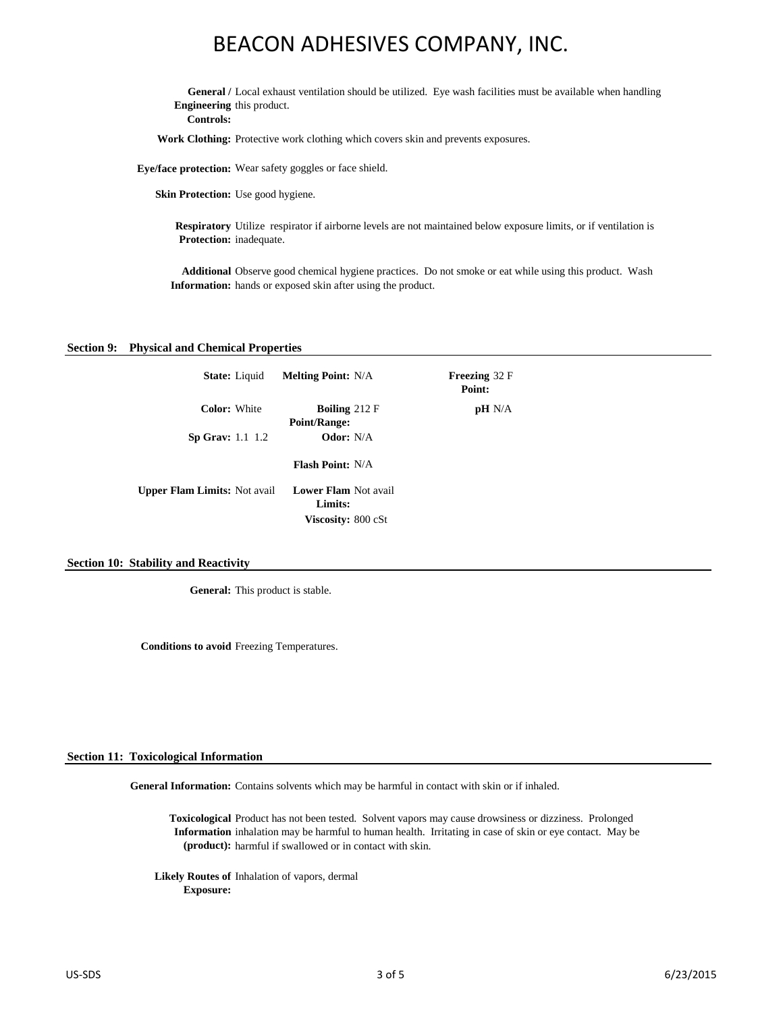General / Local exhaust ventilation should be utilized. Eye wash facilities must be available when handling **Engineering**  this product.

**Controls:**

**Work Clothing:** Protective work clothing which covers skin and prevents exposures.

**Eye/face protection:** Wear safety goggles or face shield.

**Skin Protection:** Use good hygiene.

**Respiratory**  Utilize respirator if airborne levels are not maintained below exposure limits, or if ventilation is **Protection:** inadequate.

**Additional**  Observe good chemical hygiene practices. Do not smoke or eat while using this product. Wash **Information:** hands or exposed skin after using the product.

32 F

 $N/A$ 

#### **Section 9: Physical and Chemical Properties**

| <b>State:</b> Liquid                | <b>Melting Point:</b> N/A                                                  | Freezing<br>Point: |
|-------------------------------------|----------------------------------------------------------------------------|--------------------|
| <b>Color:</b> White                 | <b>Boiling</b> $212 \mathrm{F}$<br><b>Point/Range:</b><br><b>Odor:</b> N/A | pН                 |
| Sp Grav: $1.1 \, 1.2$               | <b>Flash Point: N/A</b>                                                    |                    |
| <b>Upper Flam Limits:</b> Not avail | <b>Lower Flam Not avail</b><br>Limits:                                     |                    |
|                                     | <b>Viscosity: 800 cSt</b>                                                  |                    |

#### **Section 10: Stability and Reactivity**

**General:** This product is stable.

**Conditions to avoid** Freezing Temperatures.

#### **Section 11: Toxicological Information**

General Information: Contains solvents which may be harmful in contact with skin or if inhaled.

**Toxicological**  Product has not been tested. Solvent vapors may cause drowsiness or dizziness. Prolonged **Information**  inhalation may be harmful to human health. Irritating in case of skin or eye contact. May be **(product):** harmful if swallowed or in contact with skin.

**Likely Routes of**  Inhalation of vapors, dermal **Exposure:**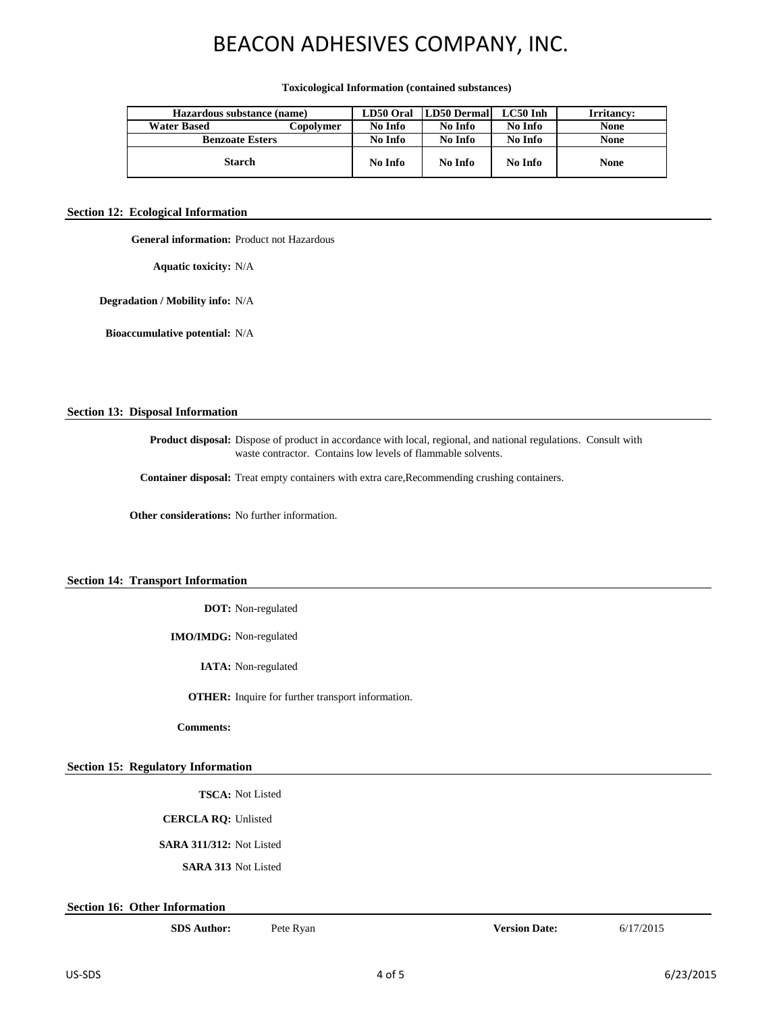#### **Toxicological Information (contained substances)**

| Hazardous substance (name) |           | LD50 Oral | <b>LD50 Dermall</b> | $LC50$ Inh | Irritancy:  |
|----------------------------|-----------|-----------|---------------------|------------|-------------|
| <b>Water Based</b>         | Copolvmer | No Info   | No Info             | No Info    | <b>None</b> |
| <b>Benzoate Esters</b>     |           | No Info   | No Info             | No Info    | <b>None</b> |
| <b>Starch</b>              |           | No Info   | No Info             | No Info    | <b>None</b> |

#### **Section 12: Ecological Information**

**General information:** Product not Hazardous

**Aquatic toxicity:** N/A

**Degradation / Mobility info:** N/A

**Bioaccumulative potential:** N/A

# **Section 13: Disposal Information**

**Product disposal:** Dispose of product in accordance with local, regional, and national regulations. Consult with waste contractor. Contains low levels of flammable solvents.

**Container disposal:** Treat empty containers with extra care,Recommending crushing containers.

**Other considerations:** No further information.

# **Section 14: Transport Information**

**DOT:** Non-regulated

**IMO/IMDG:** Non-regulated

**IATA:** Non-regulated

**OTHER:** Inquire for further transport information.

**Comments:**

#### **Section 15: Regulatory Information**

**TSCA:** Not Listed

**CERCLA RQ:** Unlisted

**SARA 311/312:** Not Listed

**SARA 313** Not Listed

**Section 16: Other Information**

**SDS Author: Version Date:** 6/17/2015 Pete Ryan